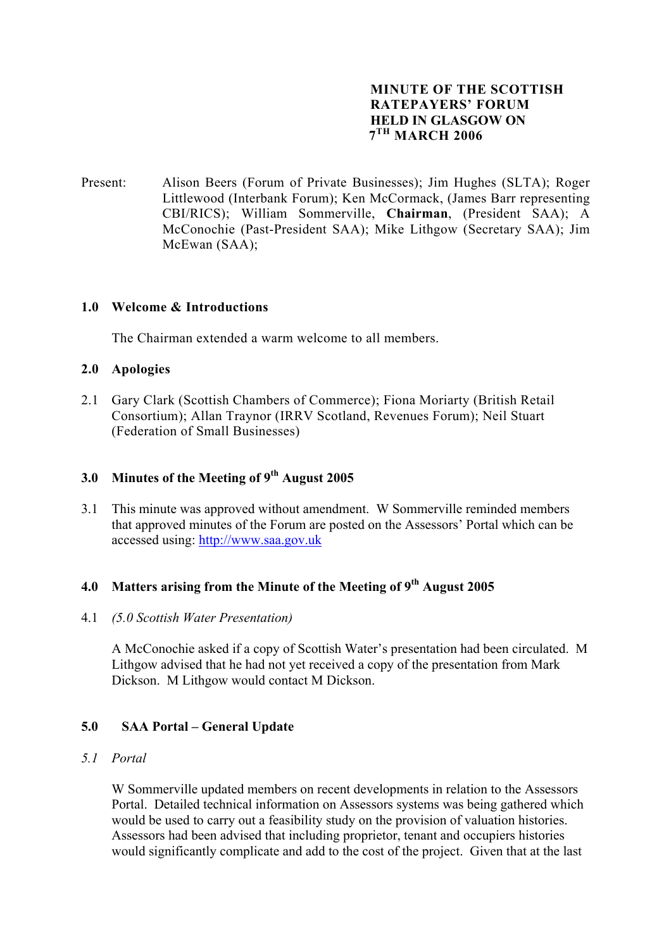## **MINUTE OF THE SCOTTISH RATEPAYERS' FORUM HELD IN GLASGOW ON 7TH MARCH 2006**

Present: Alison Beers (Forum of Private Businesses); Jim Hughes (SLTA); Roger Littlewood (Interbank Forum); Ken McCormack, (James Barr representing CBI/RICS); William Sommerville, **Chairman**, (President SAA); A McConochie (Past-President SAA); Mike Lithgow (Secretary SAA); Jim McEwan (SAA);

## **1.0 Welcome & Introductions**

The Chairman extended a warm welcome to all members.

#### **2.0 Apologies**

2.1 Gary Clark (Scottish Chambers of Commerce); Fiona Moriarty (British Retail Consortium); Allan Traynor (IRRV Scotland, Revenues Forum); Neil Stuart (Federation of Small Businesses)

# **3.0 Minutes of the Meeting of 9th August 2005**

3.1 This minute was approved without amendment. W Sommerville reminded members that approved minutes of the Forum are posted on the Assessors' Portal which can be accessed using: [http://www.saa.gov.uk](http://www.saa.gov.uk/)

# **4.0 Matters arising from the Minute of the Meeting of 9th August 2005**

4.1 *(5.0 Scottish Water Presentation)* 

A McConochie asked if a copy of Scottish Water's presentation had been circulated. M Lithgow advised that he had not yet received a copy of the presentation from Mark Dickson. M Lithgow would contact M Dickson.

# **5.0 SAA Portal – General Update**

#### *5.1 Portal*

W Sommerville updated members on recent developments in relation to the Assessors Portal. Detailed technical information on Assessors systems was being gathered which would be used to carry out a feasibility study on the provision of valuation histories. Assessors had been advised that including proprietor, tenant and occupiers histories would significantly complicate and add to the cost of the project. Given that at the last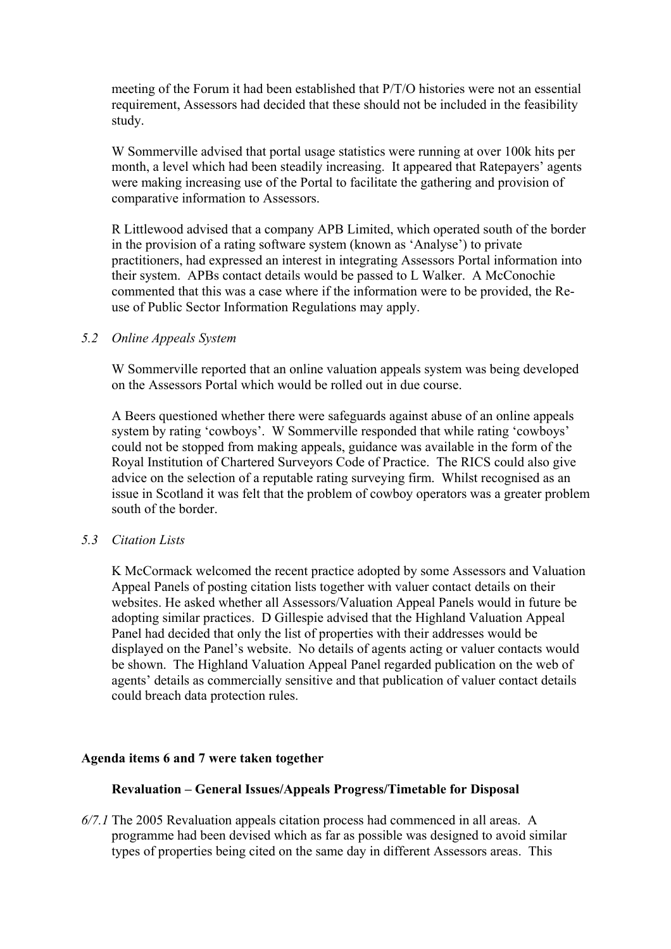meeting of the Forum it had been established that P/T/O histories were not an essential requirement, Assessors had decided that these should not be included in the feasibility study.

W Sommerville advised that portal usage statistics were running at over 100k hits per month, a level which had been steadily increasing. It appeared that Ratepayers' agents were making increasing use of the Portal to facilitate the gathering and provision of comparative information to Assessors.

R Littlewood advised that a company APB Limited, which operated south of the border in the provision of a rating software system (known as 'Analyse') to private practitioners, had expressed an interest in integrating Assessors Portal information into their system. APBs contact details would be passed to L Walker. A McConochie commented that this was a case where if the information were to be provided, the Reuse of Public Sector Information Regulations may apply.

#### *5.2 Online Appeals System*

W Sommerville reported that an online valuation appeals system was being developed on the Assessors Portal which would be rolled out in due course.

A Beers questioned whether there were safeguards against abuse of an online appeals system by rating 'cowboys'. W Sommerville responded that while rating 'cowboys' could not be stopped from making appeals, guidance was available in the form of the Royal Institution of Chartered Surveyors Code of Practice. The RICS could also give advice on the selection of a reputable rating surveying firm. Whilst recognised as an issue in Scotland it was felt that the problem of cowboy operators was a greater problem south of the border.

#### *5.3 Citation Lists*

K McCormack welcomed the recent practice adopted by some Assessors and Valuation Appeal Panels of posting citation lists together with valuer contact details on their websites. He asked whether all Assessors/Valuation Appeal Panels would in future be adopting similar practices. D Gillespie advised that the Highland Valuation Appeal Panel had decided that only the list of properties with their addresses would be displayed on the Panel's website. No details of agents acting or valuer contacts would be shown. The Highland Valuation Appeal Panel regarded publication on the web of agents' details as commercially sensitive and that publication of valuer contact details could breach data protection rules.

#### **Agenda items 6 and 7 were taken together**

#### **Revaluation – General Issues/Appeals Progress/Timetable for Disposal**

*6/7.1* The 2005 Revaluation appeals citation process had commenced in all areas. A programme had been devised which as far as possible was designed to avoid similar types of properties being cited on the same day in different Assessors areas. This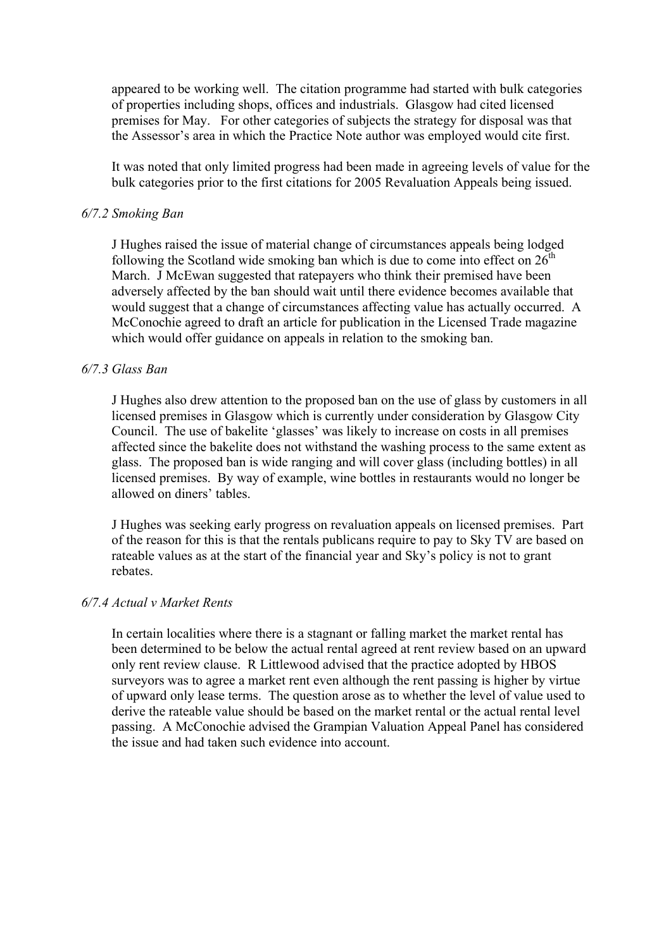appeared to be working well. The citation programme had started with bulk categories of properties including shops, offices and industrials. Glasgow had cited licensed premises for May. For other categories of subjects the strategy for disposal was that the Assessor's area in which the Practice Note author was employed would cite first.

It was noted that only limited progress had been made in agreeing levels of value for the bulk categories prior to the first citations for 2005 Revaluation Appeals being issued.

#### *6/7.2 Smoking Ban*

J Hughes raised the issue of material change of circumstances appeals being lodged following the Scotland wide smoking ban which is due to come into effect on  $26<sup>th</sup>$ March. J McEwan suggested that ratepayers who think their premised have been adversely affected by the ban should wait until there evidence becomes available that would suggest that a change of circumstances affecting value has actually occurred. A McConochie agreed to draft an article for publication in the Licensed Trade magazine which would offer guidance on appeals in relation to the smoking ban.

## *6/7.3 Glass Ban*

J Hughes also drew attention to the proposed ban on the use of glass by customers in all licensed premises in Glasgow which is currently under consideration by Glasgow City Council. The use of bakelite 'glasses' was likely to increase on costs in all premises affected since the bakelite does not withstand the washing process to the same extent as glass. The proposed ban is wide ranging and will cover glass (including bottles) in all licensed premises. By way of example, wine bottles in restaurants would no longer be allowed on diners' tables.

J Hughes was seeking early progress on revaluation appeals on licensed premises. Part of the reason for this is that the rentals publicans require to pay to Sky TV are based on rateable values as at the start of the financial year and Sky's policy is not to grant rebates.

#### *6/7.4 Actual v Market Rents*

In certain localities where there is a stagnant or falling market the market rental has been determined to be below the actual rental agreed at rent review based on an upward only rent review clause. R Littlewood advised that the practice adopted by HBOS surveyors was to agree a market rent even although the rent passing is higher by virtue of upward only lease terms. The question arose as to whether the level of value used to derive the rateable value should be based on the market rental or the actual rental level passing. A McConochie advised the Grampian Valuation Appeal Panel has considered the issue and had taken such evidence into account.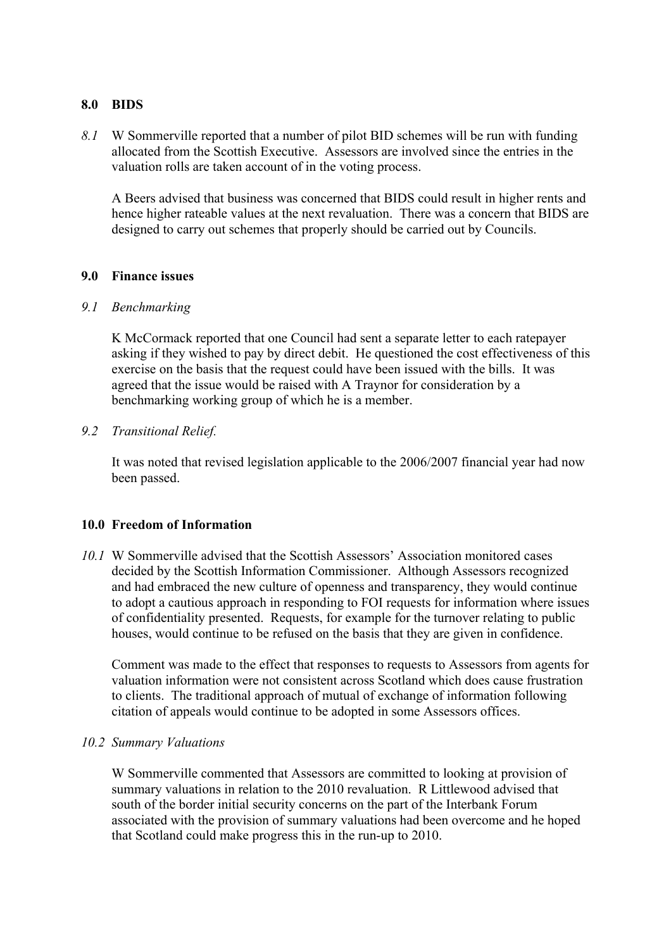#### **8.0 BIDS**

*8.1* W Sommerville reported that a number of pilot BID schemes will be run with funding allocated from the Scottish Executive. Assessors are involved since the entries in the valuation rolls are taken account of in the voting process.

A Beers advised that business was concerned that BIDS could result in higher rents and hence higher rateable values at the next revaluation. There was a concern that BIDS are designed to carry out schemes that properly should be carried out by Councils.

## **9.0 Finance issues**

## *9.1 Benchmarking*

K McCormack reported that one Council had sent a separate letter to each ratepayer asking if they wished to pay by direct debit. He questioned the cost effectiveness of this exercise on the basis that the request could have been issued with the bills. It was agreed that the issue would be raised with A Traynor for consideration by a benchmarking working group of which he is a member.

## *9.2 Transitional Relief.*

It was noted that revised legislation applicable to the 2006/2007 financial year had now been passed.

#### **10.0 Freedom of Information**

*10.1* W Sommerville advised that the Scottish Assessors' Association monitored cases decided by the Scottish Information Commissioner. Although Assessors recognized and had embraced the new culture of openness and transparency, they would continue to adopt a cautious approach in responding to FOI requests for information where issues of confidentiality presented. Requests, for example for the turnover relating to public houses, would continue to be refused on the basis that they are given in confidence.

 Comment was made to the effect that responses to requests to Assessors from agents for valuation information were not consistent across Scotland which does cause frustration to clients. The traditional approach of mutual of exchange of information following citation of appeals would continue to be adopted in some Assessors offices.

#### *10.2 Summary Valuations*

W Sommerville commented that Assessors are committed to looking at provision of summary valuations in relation to the 2010 revaluation. R Littlewood advised that south of the border initial security concerns on the part of the Interbank Forum associated with the provision of summary valuations had been overcome and he hoped that Scotland could make progress this in the run-up to 2010.